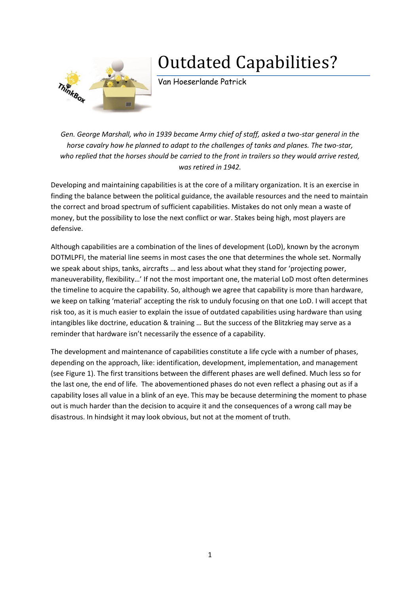## ThinkBox

## Outdated Capabilities?

Van Hoeserlande Patrick

*Gen. George Marshall, who in 1939 became Army chief of staff, asked a two-star general in the horse cavalry how he planned to adapt to the challenges of tanks and planes. The two-star, who replied that the horses should be carried to the front in trailers so they would arrive rested, was retired in 1942.*

Developing and maintaining capabilities is at the core of a military organization. It is an exercise in finding the balance between the political guidance, the available resources and the need to maintain the correct and broad spectrum of sufficient capabilities. Mistakes do not only mean a waste of money, but the possibility to lose the next conflict or war. Stakes being high, most players are defensive.

Although capabilities are a combination of the lines of development (LoD), known by the acronym DOTMLPFI, the material line seems in most cases the one that determines the whole set. Normally we speak about ships, tanks, aircrafts … and less about what they stand for 'projecting power, maneuverability, flexibility…' If not the most important one, the material LoD most often determines the timeline to acquire the capability. So, although we agree that capability is more than hardware, we keep on talking 'material' accepting the risk to unduly focusing on that one LoD. I will accept that risk too, as it is much easier to explain the issue of outdated capabilities using hardware than using intangibles like doctrine, education & training … But the success of the Blitzkrieg may serve as a reminder that hardware isn't necessarily the essence of a capability.

The development and maintenance of capabilities constitute a life cycle with a number of phases, depending on the approach, like: identification, development, implementation, and management (see [Figure 1\)](#page-1-0). The first transitions between the different phases are well defined. Much less so for the last one, the end of life. The abovementioned phases do not even reflect a phasing out as if a capability loses all value in a blink of an eye. This may be because determining the moment to phase out is much harder than the decision to acquire it and the consequences of a wrong call may be disastrous. In hindsight it may look obvious, but not at the moment of truth.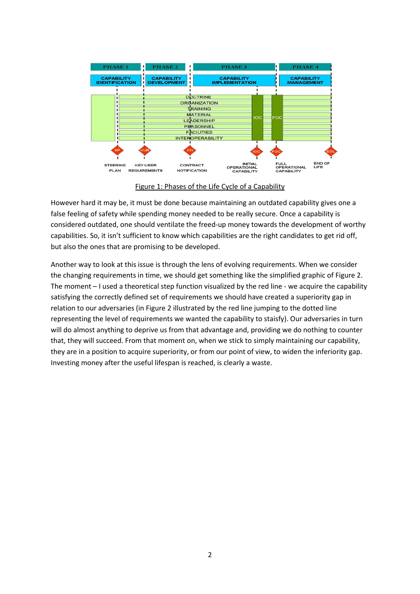

Figure 1: Phases of the Life Cycle of a Capability

<span id="page-1-0"></span>However hard it may be, it must be done because maintaining an outdated capability gives one a false feeling of safety while spending money needed to be really secure. Once a capability is considered outdated, one should ventilate the freed-up money towards the development of worthy capabilities. So, it isn't sufficient to know which capabilities are the right candidates to get rid off, but also the ones that are promising to be developed.

Another way to look at this issue is through the lens of evolving requirements. When we consider the changing requirements in time, we should get something like the simplified graphic o[f Figure 2.](#page-2-0) The moment – I used a theoretical step function visualized by the red line - we acquire the capability satisfying the correctly defined set of requirements we should have created a superiority gap in relation to our adversaries (in [Figure 2](#page-2-0) illustrated by the red line jumping to the dotted line representing the level of requirements we wanted the capability to staisfy). Our adversaries in turn will do almost anything to deprive us from that advantage and, providing we do nothing to counter that, they will succeed. From that moment on, when we stick to simply maintaining our capability, they are in a position to acquire superiority, or from our point of view, to widen the inferiority gap. Investing money after the useful lifespan is reached, is clearly a waste.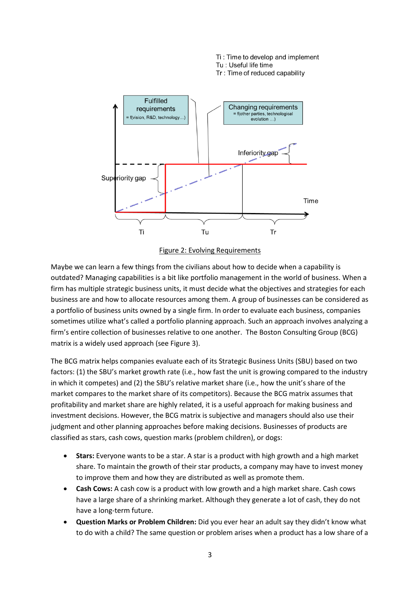

Ti: Time to develop and implement

Figure 2: Evolving Requirements

<span id="page-2-0"></span>Maybe we can learn a few things from the civilians about how to decide when a capability is outdated? Managing capabilities is a bit like portfolio management in the world of business. When a firm has multiple strategic business units, it must decide what the objectives and strategies for each business are and how to allocate resources among them. A group of businesses can be considered as a portfolio of business units owned by a single firm. In order to evaluate each business, companies sometimes utilize what's called a portfolio planning approach. Such an approach involves analyzing a firm's entire collection of businesses relative to one another. The Boston Consulting Group (BCG) matrix is a widely used approach (se[e Figure 3\)](#page-3-0).

The BCG matrix helps companies evaluate each of its Strategic Business Units (SBU) based on two factors: (1) the SBU's market growth rate (i.e., how fast the unit is growing compared to the industry in which it competes) and (2) the SBU's relative market share (i.e., how the unit's share of the market compares to the market share of its competitors). Because the BCG matrix assumes that profitability and market share are highly related, it is a useful approach for making business and investment decisions. However, the BCG matrix is subjective and managers should also use their judgment and other planning approaches before making decisions. Businesses of products are classified as stars, cash cows, question marks (problem children), or dogs:

- **Stars:** Everyone wants to be a star. A star is a product with high growth and a high market share. To maintain the growth of their star products, a company may have to invest money to improve them and how they are distributed as well as promote them.
- **Cash Cows:** A cash cow is a product with low growth and a high market share. Cash cows have a large share of a shrinking market. Although they generate a lot of cash, they do not have a long-term future.
- **Question Marks or Problem Children:** Did you ever hear an adult say they didn't know what to do with a child? The same question or problem arises when a product has a low share of a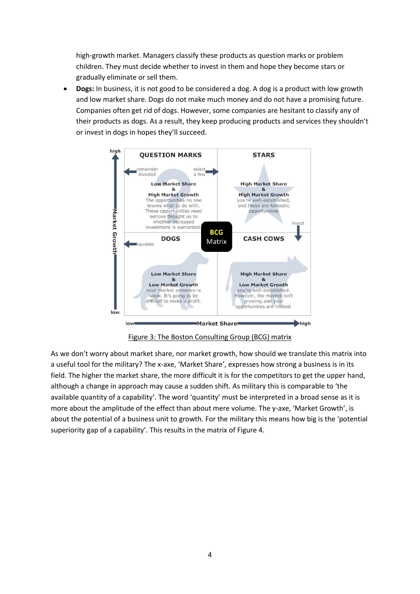high-growth market. Managers classify these products as question marks or problem children. They must decide whether to invest in them and hope they become stars or gradually eliminate or sell them.

 **Dogs:** In business, it is not good to be considered a dog. A dog is a product with low growth and low market share. Dogs do not make much money and do not have a promising future. Companies often get rid of dogs. However, some companies are hesitant to classify any of their products as dogs. As a result, they keep producing products and services they shouldn't or invest in dogs in hopes they'll succeed.



Figure 3: The Boston Consulting Group (BCG) matrix

<span id="page-3-0"></span>As we don't worry about market share, nor market growth, how should we translate this matrix into a useful tool for the military? The x-axe, 'Market Share', expresses how strong a business is in its field. The higher the market share, the more difficult it is for the competitors to get the upper hand, although a change in approach may cause a sudden shift. As military this is comparable to 'the available quantity of a capability'. The word 'quantity' must be interpreted in a broad sense as it is more about the amplitude of the effect than about mere volume. The y-axe, 'Market Growth', is about the potential of a business unit to growth. For the military this means how big is the 'potential superiority gap of a capability'. This results in the matrix of [Figure 4.](#page-4-0)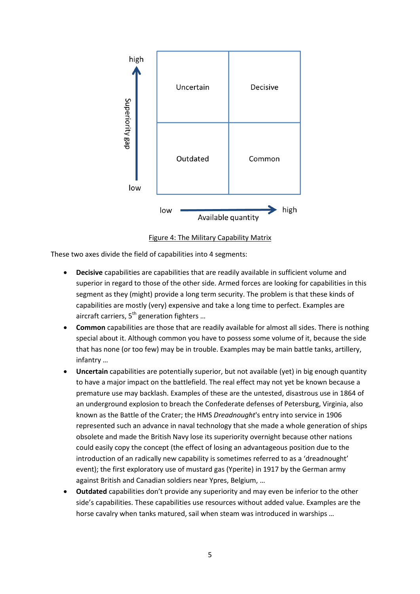

Figure 4: The Military Capability Matrix

<span id="page-4-0"></span>These two axes divide the field of capabilities into 4 segments:

- **Decisive** capabilities are capabilities that are readily available in sufficient volume and superior in regard to those of the other side. Armed forces are looking for capabilities in this segment as they (might) provide a long term security. The problem is that these kinds of capabilities are mostly (very) expensive and take a long time to perfect. Examples are aircraft carriers,  $5<sup>th</sup>$  generation fighters ...
- **Common** capabilities are those that are readily available for almost all sides. There is nothing special about it. Although common you have to possess some volume of it, because the side that has none (or too few) may be in trouble. Examples may be main battle tanks, artillery, infantry …
- **Uncertain** capabilities are potentially superior, but not available (yet) in big enough quantity to have a major impact on the battlefield. The real effect may not yet be known because a premature use may backlash. Examples of these are the untested, disastrous use in 1864 of an underground explosion to breach the Confederate defenses of Petersburg, Virginia, also known as the Battle of the Crater; the HMS *Dreadnought*'s entry into service in 1906 represented such an advance in naval technology that she made a whole generation of ships obsolete and made the British Navy lose its superiority overnight because other nations could easily copy the concept (the effect of losing an advantageous position due to the introduction of an radically new capability is sometimes referred to as a 'dreadnought' event); the first exploratory use of mustard gas (Yperite) in 1917 by the German army against British and Canadian soldiers near Ypres, Belgium, …
- **Outdated** capabilities don't provide any superiority and may even be inferior to the other side's capabilities. These capabilities use resources without added value. Examples are the horse cavalry when tanks matured, sail when steam was introduced in warships …